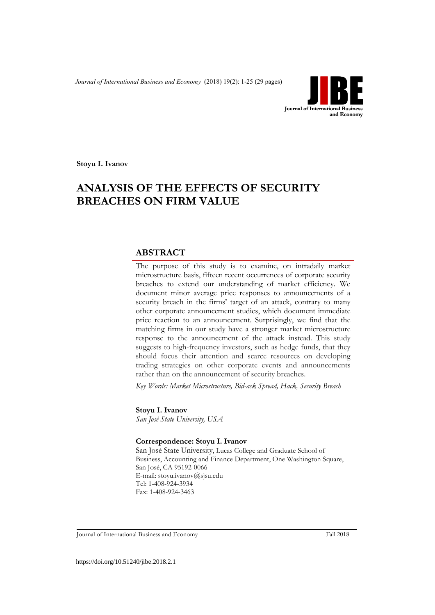*Journal of International Business and Economy* (2018) 19(2): 1-25 (29 pages)



**Stoyu I. Ivanov**

# **ANALYSIS OF THE EFFECTS OF SECURITY BREACHES ON FIRM VALUE**

## **ABSTRACT**

The purpose of this study is to examine, on intradaily market microstructure basis, fifteen recent occurrences of corporate security breaches to extend our understanding of market efficiency. We document minor average price responses to announcements of a security breach in the firms' target of an attack, contrary to many other corporate announcement studies, which document immediate price reaction to an announcement. Surprisingly, we find that the matching firms in our study have a stronger market microstructure response to the announcement of the attack instead. This study suggests to high-frequency investors, such as hedge funds, that they should focus their attention and scarce resources on developing trading strategies on other corporate events and announcements rather than on the announcement of security breaches.

*Key Words: Market Microstructure, Bid-ask Spread, Hack, Security Breach*

**Stoyu I. Ivanov** *San José State University, USA*

#### **Correspondence: Stoyu I. Ivanov**

San José State University, Lucas College and Graduate School of Business, Accounting and Finance Department, One Washington Square, San José, CA 95192-0066 E-mail: stoyu.ivanov@sjsu.edu Tel: 1-408-924-3934 Fax: 1-408-924-3463

Journal of International Business and Economy Fall 2018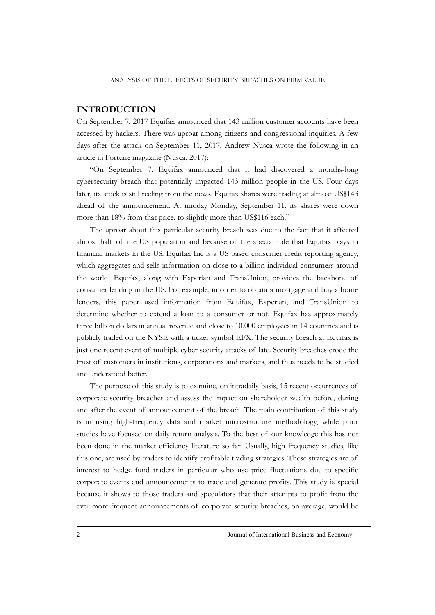## **INTRODUCTION**

On September 7, 2017 Equifax announced that 143 million customer accounts have been accessed by hackers. There was uproar among citizens and congressional inquiries. A few days after the attack on September 11, 2017, Andrew Nusca wrote the following in an article in Fortune magazine (Nusca, 2017):

"On September 7, Equifax announced that it had discovered a months-long cybersecurity breach that potentially impacted 143 million people in the US. Four days later, its stock is still reeling from the news. Equifax shares were trading at almost US\$143 ahead of the announcement. At midday Monday, September 11, its shares were down more than 18% from that price, to slightly more than US\$116 each."

The uproar about this particular security breach was due to the fact that it affected almost half of the US population and because of the special role that Equifax plays in financial markets in the US. Equifax Inc is a US based consumer credit reporting agency, which aggregates and sells information on close to a billion individual consumers around the world. Equifax, along with Experian and TransUnion, provides the backbone of consumer lending in the US. For example, in order to obtain a mortgage and buy a home lenders, this paper used information from Equifax, Experian, and TransUnion to determine whether to extend a loan to a consumer or not. Equifax has approximately three billion dollars in annual revenue and close to 10,000 employees in 14 countries and is publicly traded on the NYSE with a ticker symbol EFX. The security breach at Equifax is just one recent event of multiple cyber security attacks of late. Security breaches erode the trust of customers in institutions, corporations and markets, and thus needs to be studied and understood better.

The purpose of this study is to examine, on intradaily basis, 15 recent occurrences of corporate security breaches and assess the impact on shareholder wealth before, during and after the event of announcement of the breach. The main contribution of this study is in using high-frequency data and market microstructure methodology, while prior studies have focused on daily return analysis. To the best of our knowledge this has not been done in the market efficiency literature so far. Usually, high frequency studies, like this one, are used by traders to identify profitable trading strategies. These strategies are of interest to hedge fund traders in particular who use price fluctuations due to specific corporate events and announcements to trade and generate profits. This study is special because it shows to those traders and speculators that their attempts to profit from the ever more frequent announcements of corporate security breaches, on average, would be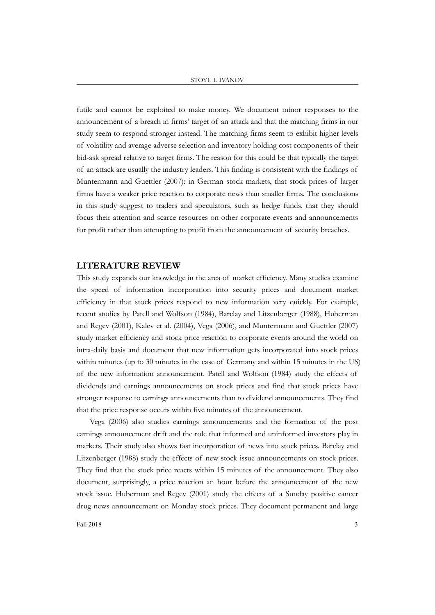#### STOYU I. IVANOV

futile and cannot be exploited to make money. We document minor responses to the announcement of a breach in firms' target of an attack and that the matching firms in our study seem to respond stronger instead. The matching firms seem to exhibit higher levels of volatility and average adverse selection and inventory holding cost components of their bid-ask spread relative to target firms. The reason for this could be that typically the target of an attack are usually the industry leaders. This finding is consistent with the findings of Muntermann and Guettler (2007): in German stock markets, that stock prices of larger firms have a weaker price reaction to corporate news than smaller firms. The conclusions in this study suggest to traders and speculators, such as hedge funds, that they should focus their attention and scarce resources on other corporate events and announcements for profit rather than attempting to profit from the announcement of security breaches.

#### **LITERATURE REVIEW**

This study expands our knowledge in the area of market efficiency. Many studies examine the speed of information incorporation into security prices and document market efficiency in that stock prices respond to new information very quickly. For example, recent studies by Patell and Wolfson (1984), Barclay and Litzenberger (1988), Huberman and Regev (2001), Kalev et al. (2004), Vega (2006), and Muntermann and Guettler (2007) study market efficiency and stock price reaction to corporate events around the world on intra-daily basis and document that new information gets incorporated into stock prices within minutes (up to 30 minutes in the case of Germany and within 15 minutes in the US) of the new information announcement. Patell and Wolfson (1984) study the effects of dividends and earnings announcements on stock prices and find that stock prices have stronger response to earnings announcements than to dividend announcements. They find that the price response occurs within five minutes of the announcement.

Vega (2006) also studies earnings announcements and the formation of the post earnings announcement drift and the role that informed and uninformed investors play in markets. Their study also shows fast incorporation of news into stock prices. Barclay and Litzenberger (1988) study the effects of new stock issue announcements on stock prices. They find that the stock price reacts within 15 minutes of the announcement. They also document, surprisingly, a price reaction an hour before the announcement of the new stock issue. Huberman and Regev (2001) study the effects of a Sunday positive cancer drug news announcement on Monday stock prices. They document permanent and large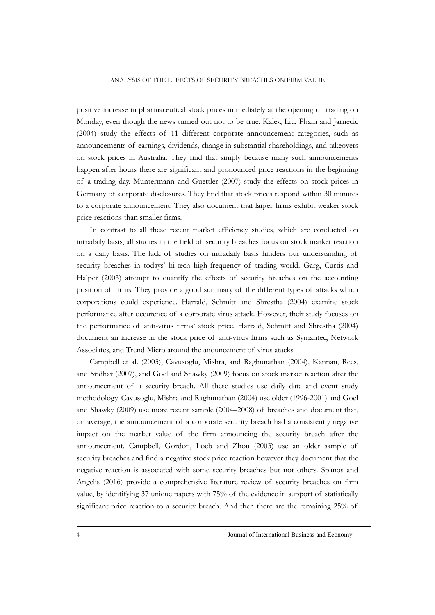positive increase in pharmaceutical stock prices immediately at the opening of trading on Monday, even though the news turned out not to be true. Kalev, Liu, Pham and Jarnecic (2004) study the effects of 11 different corporate announcement categories, such as announcements of earnings, dividends, change in substantial shareholdings, and takeovers on stock prices in Australia. They find that simply because many such announcements happen after hours there are significant and pronounced price reactions in the beginning of a trading day. Muntermann and Guettler (2007) study the effects on stock prices in Germany of corporate disclosures. They find that stock prices respond within 30 minutes to a corporate announcement. They also document that larger firms exhibit weaker stock price reactions than smaller firms.

In contrast to all these recent market efficiency studies, which are conducted on intradaily basis, all studies in the field of security breaches focus on stock market reaction on a daily basis. The lack of studies on intradaily basis hinders our understanding of security breaches in todays' hi-tech high-frequency of trading world. Garg, Curtis and Halper (2003) attempt to quantify the effects of security breaches on the accounting position of firms. They provide a good summary of the different types of attacks which corporations could experience. Harrald, Schmitt and Shrestha (2004) examine stock performance after occurence of a corporate virus attack. However, their study focuses on the performance of anti-virus firms' stock price. Harrald, Schmitt and Shrestha (2004) document an increase in the stock price of anti-virus firms such as Symantec, Network Associates, and Trend Micro around the anouncement of virus atacks.

Campbell et al. (2003), Cavusoglu, Mishra, and Raghunathan (2004), Kannan, Rees, and Sridhar (2007), and Goel and Shawky (2009) focus on stock market reaction after the announcement of a security breach. All these studies use daily data and event study methodology. Cavusoglu, Mishra and Raghunathan (2004) use older (1996-2001) and Goel and Shawky (2009) use more recent sample (2004–2008) of breaches and document that, on average, the announcement of a corporate security breach had a consistently negative impact on the market value of the firm announcing the security breach after the announcement. Campbell, Gordon, Loeb and Zhou (2003) use an older sample of security breaches and find a negative stock price reaction however they document that the negative reaction is associated with some security breaches but not others. Spanos and Angelis (2016) provide a comprehensive literature review of security breaches on firm value, by identifying 37 unique papers with 75% of the evidence in support of statistically significant price reaction to a security breach. And then there are the remaining 25% of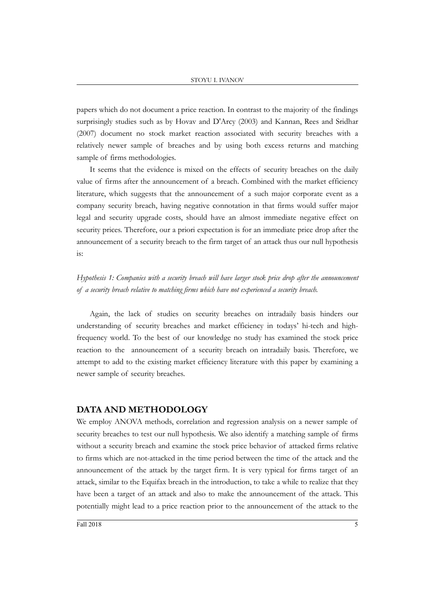papers which do not document a price reaction. In contrast to the majority of the findings surprisingly studies such as by Hovav and D'Arcy (2003) and Kannan, Rees and Sridhar (2007) document no stock market reaction associated with security breaches with a relatively newer sample of breaches and by using both excess returns and matching sample of firms methodologies.

It seems that the evidence is mixed on the effects of security breaches on the daily value of firms after the announcement of a breach. Combined with the market efficiency literature, which suggests that the announcement of a such major corporate event as a company security breach, having negative connotation in that firms would suffer major legal and security upgrade costs, should have an almost immediate negative effect on security prices. Therefore, our a priori expectation is for an immediate price drop after the announcement of a security breach to the firm target of an attack thus our null hypothesis is:

## *Hypothesis 1: Companies with a security breach will have larger stock price drop after the announcement of a security breach relative to matching firms which have not experienced a security breach.*

Again, the lack of studies on security breaches on intradaily basis hinders our understanding of security breaches and market efficiency in todays' hi-tech and highfrequency world. To the best of our knowledge no study has examined the stock price reaction to the announcement of a security breach on intradaily basis. Therefore, we attempt to add to the existing market efficiency literature with this paper by examining a newer sample of security breaches.

## **DATA AND METHODOLOGY**

We employ ANOVA methods, correlation and regression analysis on a newer sample of security breaches to test our null hypothesis. We also identify a matching sample of firms without a security breach and examine the stock price behavior of attacked firms relative to firms which are not-attacked in the time period between the time of the attack and the announcement of the attack by the target firm. It is very typical for firms target of an attack, similar to the Equifax breach in the introduction, to take a while to realize that they have been a target of an attack and also to make the announcement of the attack. This potentially might lead to a price reaction prior to the announcement of the attack to the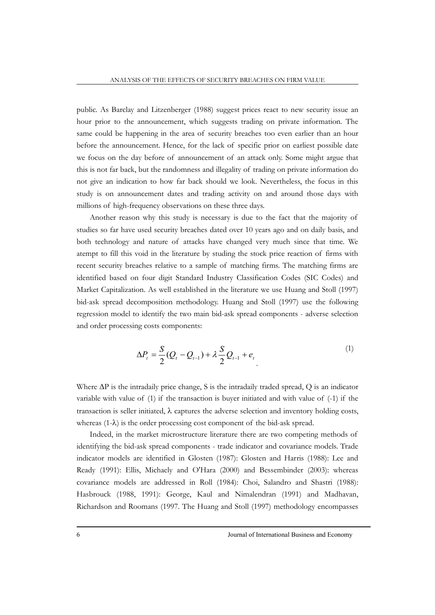public. As Barclay and Litzenberger (1988) suggest prices react to new security issue an hour prior to the announcement, which suggests trading on private information. The same could be happening in the area of security breaches too even earlier than an hour before the announcement. Hence, for the lack of specific prior on earliest possible date we focus on the day before of announcement of an attack only. Some might argue that this is not far back, but the randomness and illegality of trading on private information do not give an indication to how far back should we look. Nevertheless, the focus in this study is on announcement dates and trading activity on and around those days with millions of high-frequency observations on these three days.

Another reason why this study is necessary is due to the fact that the majority of studies so far have used security breaches dated over 10 years ago and on daily basis, and both technology and nature of attacks have changed very much since that time. We atempt to fill this void in the literature by studing the stock price reaction of firms with recent security breaches relative to a sample of matching firms. The matching firms are identified based on four digit Standard Industry Classification Codes (SIC Codes) and Market Capitalization. As well established in the literature we use Huang and Stoll (1997) bid-ask spread decomposition methodology. Huang and Stoll (1997) use the following regression model to identify the two main bid-ask spread components - adverse selection and order processing costs components:

$$
\Delta P_t = \frac{S}{2} (Q_t - Q_{t-1}) + \lambda \frac{S}{2} Q_{t-1} + e_t
$$
\n(1)

Where ∆P is the intradaily price change, S is the intradaily traded spread, Q is an indicator variable with value of (1) if the transaction is buyer initiated and with value of (-1) if the transaction is seller initiated, λ captures the adverse selection and inventory holding costs, whereas  $(1-\lambda)$  is the order processing cost component of the bid-ask spread.

Indeed, in the market microstructure literature there are two competing methods of identifying the bid-ask spread components - trade indicator and covariance models. Trade indicator models are identified in Glosten (1987): Glosten and Harris (1988): Lee and Ready (1991): Ellis, Michaely and O'Hara (2000) and Bessembinder (2003): whereas covariance models are addressed in Roll (1984): Choi, Salandro and Shastri (1988): Hasbrouck (1988, 1991): George, Kaul and Nimalendran (1991) and Madhavan, Richardson and Roomans (1997. The Huang and Stoll (1997) methodology encompasses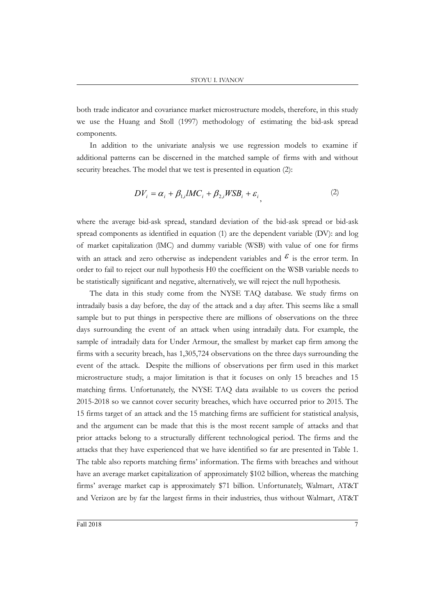both trade indicator and covariance market microstructure models, therefore, in this study we use the Huang and Stoll (1997) methodology of estimating the bid-ask spread components.

In addition to the univariate analysis we use regression models to examine if additional patterns can be discerned in the matched sample of firms with and without security breaches. The model that we test is presented in equation (2):

$$
DV_i = \alpha_i + \beta_{1,i} lMC_i + \beta_{2,i} WSB_i + \varepsilon_i, \tag{2}
$$

where the average bid-ask spread, standard deviation of the bid-ask spread or bid-ask spread components as identified in equation (1) are the dependent variable (DV): and log of market capitalization (lMC) and dummy variable (WSB) with value of one for firms with an attack and zero otherwise as independent variables and  $\mathcal{E}$  is the error term. In order to fail to reject our null hypothesis H0 the coefficient on the WSB variable needs to be statistically significant and negative, alternatively, we will reject the null hypothesis.

The data in this study come from the NYSE TAQ database. We study firms on intradaily basis a day before, the day of the attack and a day after. This seems like a small sample but to put things in perspective there are millions of observations on the three days surrounding the event of an attack when using intradaily data. For example, the sample of intradaily data for Under Armour, the smallest by market cap firm among the firms with a security breach, has 1,305,724 observations on the three days surrounding the event of the attack. Despite the millions of observations per firm used in this market microstructure study, a major limitation is that it focuses on only 15 breaches and 15 matching firms. Unfortunately, the NYSE TAQ data available to us covers the period 2015-2018 so we cannot cover security breaches, which have occurred prior to 2015. The 15 firms target of an attack and the 15 matching firms are sufficient for statistical analysis, and the argument can be made that this is the most recent sample of attacks and that prior attacks belong to a structurally different technological period. The firms and the attacks that they have experienced that we have identified so far are presented in Table 1. The table also reports matching firms' information. The firms with breaches and without have an average market capitalization of approximately \$102 billion, whereas the matching firms' average market cap is approximately \$71 billion. Unfortunately, Walmart, AT&T and Verizon are by far the largest firms in their industries, thus without Walmart, AT&T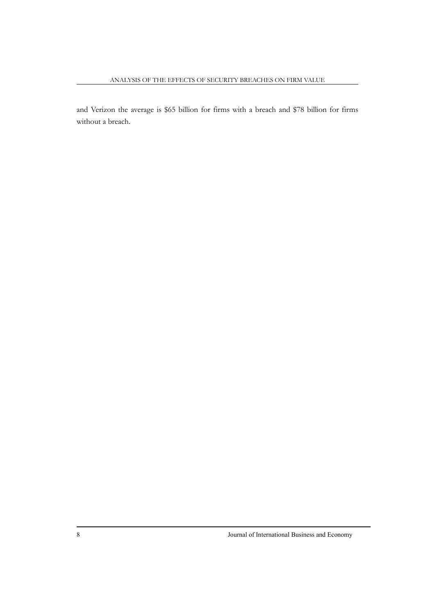and Verizon the average is \$65 billion for firms with a breach and \$78 billion for firms without a breach.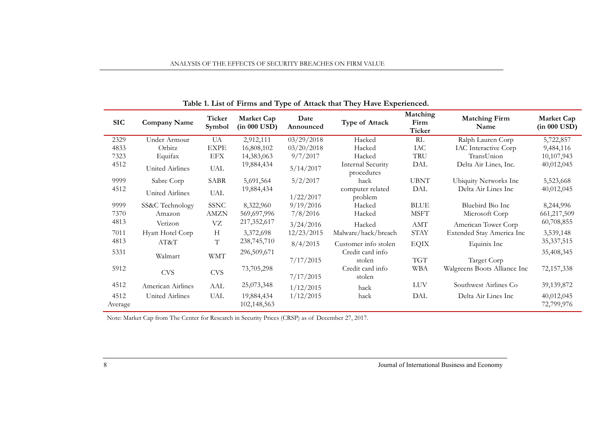| <b>SIC</b>      | <b>Company Name</b> | Ticker<br>Symbol | Market Cap<br>$(in 000 \text{ USD})$ | Date<br>Announced | Type of Attack                         | Matching<br>Firm<br>Ticker | <b>Matching Firm</b><br>Name | Market Cap<br>$(in 000$ USD) |
|-----------------|---------------------|------------------|--------------------------------------|-------------------|----------------------------------------|----------------------------|------------------------------|------------------------------|
| 2329            | Under Armour        | UA               | 2,912,111                            | 03/29/2018        | Hacked                                 | RL                         | Ralph Lauren Corp            | 5,722,857                    |
| 4833            | Orbitz              | <b>EXPE</b>      | 16,808,102                           | 03/20/2018        | Hacked                                 | IAC                        | <b>IAC</b> Interactive Corp  | 9,484,116                    |
| 7323            | Equifax             | <b>EFX</b>       | 14,383,063                           | 9/7/2017          | Hacked                                 | TRU                        | TransUnion                   | 10,107,943                   |
| 4512            | United Airlines     | <b>UAL</b>       | 19,884,434                           | 5/14/2017         | <b>Internal Security</b><br>procedures | DAL                        | Delta Air Lines, Inc.        | 40,012,045                   |
| 9999            | Sabre Corp          | SABR             | 5,691,564                            | 5/2/2017          | hack                                   | <b>UBNT</b>                | Ubiquity Networks Inc        | 5,523,668                    |
| 4512            | United Airlines     | <b>UAL</b>       | 19,884,434                           | 1/22/2017         | computer related<br>problem            | DAL                        | Delta Air Lines Inc          | 40,012,045                   |
| 9999            | SS&C Technology     | <b>SSNC</b>      | 8,322,960                            | 9/19/2016         | Hacked                                 | <b>BLUE</b>                | Bluebird Bio Inc             | 8,244,996                    |
| 7370            | Amazon              | <b>AMZN</b>      | 569,697,996                          | 7/8/2016          | Hacked                                 | <b>MSFT</b>                | Microsoft Corp               | 661,217,509                  |
| 4813            | Verizon             | VZ               | 217,352,617                          | 3/24/2016         | Hacked                                 | $\bold{AMT}$               | American Tower Corp          | 60,708,855                   |
| 7011            | Hyatt Hotel Corp    | H                | 3,372,698                            | 12/23/2015        | Malware/hack/breach                    | <b>STAY</b>                | Extended Stay America Inc    | 3,539,148                    |
| 4813            | AT&T                | $\mathbf T$      | 238,745,710                          | 8/4/2015          | Customer info stolen                   | <b>EQIX</b>                | Equinix Inc                  | 35, 337, 515                 |
| 5331            | Walmart             | <b>WMT</b>       | 296,509,671                          |                   | Credit card info                       |                            |                              | 35,408,345                   |
|                 |                     |                  |                                      | 7/17/2015         | stolen                                 | <b>TGT</b>                 | Target Corp                  |                              |
| 5912            | <b>CVS</b>          | <b>CVS</b>       | 73,705,298                           |                   | Credit card info                       | WBA                        | Walgreens Boots Alliance Inc | 72,157,338                   |
|                 |                     |                  |                                      | 7/17/2015         | stolen                                 |                            |                              |                              |
| 4512            | American Airlines   | AAL              | 25,073,348                           | 1/12/2015         | hack                                   | <b>LUV</b>                 | Southwest Airlines Co        | 39, 139, 872                 |
| 4512<br>Average | United Airlines     | UAL              | 19,884,434<br>102,148,563            | 1/12/2015         | hack                                   | DAL                        | Delta Air Lines Inc          | 40,012,045<br>72,799,976     |

## **Table 1. List of Firms and Type of Attack that They Have Experienced.**

ANALYSIS OF THE EFFECTS OF SECURITY BREACHES ON FIRM VALUE

Note: Market Cap from The Center for Research in Security Prices (CRSP) as of December 27, 2017.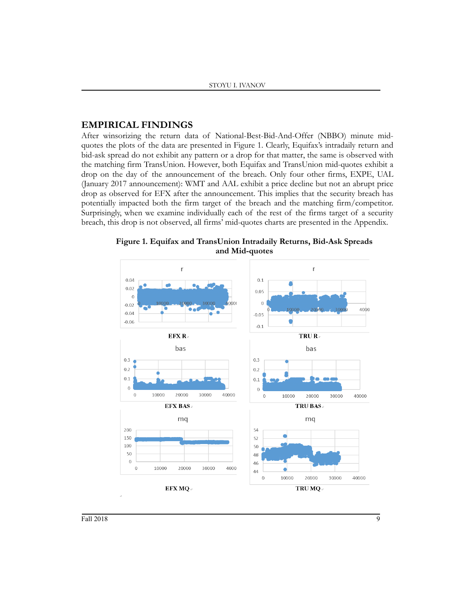## **EMPIRICAL FINDINGS**

After winsorizing the return data of National-Best-Bid-And-Offer (NBBO) minute midquotes the plots of the data are presented in Figure 1. Clearly, Equifax's intradaily return and bid-ask spread do not exhibit any pattern or a drop for that matter, the same is observed with the matching firm TransUnion. However, both Equifax and TransUnion mid-quotes exhibit a drop on the day of the announcement of the breach. Only four other firms, EXPE, UAL (January 2017 announcement): WMT and AAL exhibit a price decline but not an abrupt price drop as observed for EFX after the announcement. This implies that the security breach has potentially impacted both the firm target of the breach and the matching firm/competitor. Surprisingly, when we examine individually each of the rest of the firms target of a security breach, this drop is not observed, all firms' mid-quotes charts are presented in the Appendix.



**Figure 1. Equifax and TransUnion Intradaily Returns, Bid-Ask Spreads and Mid-quotes**

Fall 2018 **9**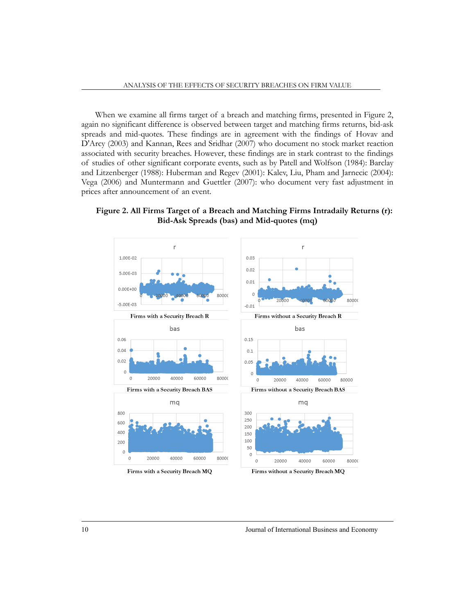When we examine all firms target of a breach and matching firms, presented in Figure 2, again no significant difference is observed between target and matching firms returns, bid-ask spreads and mid-quotes. These findings are in agreement with the findings of Hovav and D'Arcy (2003) and Kannan, Rees and Sridhar (2007) who document no stock market reaction associated with security breaches. However, these findings are in stark contrast to the findings of studies of other significant corporate events, such as by Patell and Wolfson (1984): Barclay and Litzenberger (1988): Huberman and Regev (2001): Kalev, Liu, Pham and Jarnecic (2004): Vega (2006) and Muntermann and Guettler (2007): who document very fast adjustment in prices after announcement of an event.

**Figure 2. All Firms Target of a Breach and Matching Firms Intradaily Returns (r): Bid-Ask Spreads (bas) and Mid-quotes (mq)**

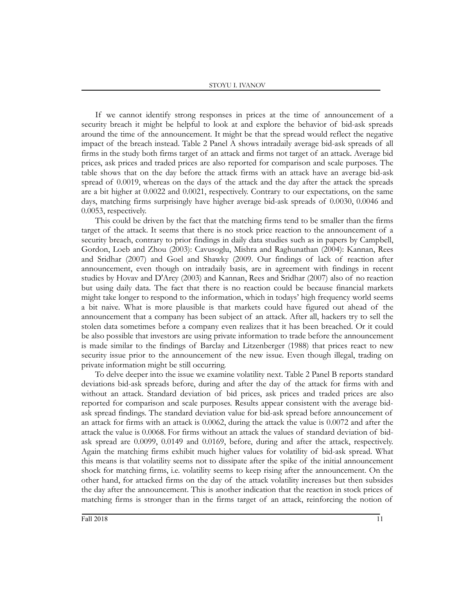If we cannot identify strong responses in prices at the time of announcement of a security breach it might be helpful to look at and explore the behavior of bid-ask spreads around the time of the announcement. It might be that the spread would reflect the negative impact of the breach instead. Table 2 Panel A shows intradaily average bid-ask spreads of all firms in the study both firms target of an attack and firms not target of an attack. Average bid prices, ask prices and traded prices are also reported for comparison and scale purposes. The table shows that on the day before the attack firms with an attack have an average bid-ask spread of 0.0019, whereas on the days of the attack and the day after the attack the spreads are a bit higher at 0.0022 and 0.0021, respectively. Contrary to our expectations, on the same days, matching firms surprisingly have higher average bid-ask spreads of 0.0030, 0.0046 and 0.0053, respectively.

This could be driven by the fact that the matching firms tend to be smaller than the firms target of the attack. It seems that there is no stock price reaction to the announcement of a security breach, contrary to prior findings in daily data studies such as in papers by Campbell, Gordon, Loeb and Zhou (2003): Cavusoglu, Mishra and Raghunathan (2004): Kannan, Rees and Sridhar (2007) and Goel and Shawky (2009. Our findings of lack of reaction after announcement, even though on intradaily basis, are in agreement with findings in recent studies by Hovav and D'Arcy (2003) and Kannan, Rees and Sridhar (2007) also of no reaction but using daily data. The fact that there is no reaction could be because financial markets might take longer to respond to the information, which in todays' high frequency world seems a bit naive. What is more plausible is that markets could have figured out ahead of the announcement that a company has been subject of an attack. After all, hackers try to sell the stolen data sometimes before a company even realizes that it has been breached. Or it could be also possible that investors are using private information to trade before the announcement is made similar to the findings of Barclay and Litzenberger (1988) that prices react to new security issue prior to the announcement of the new issue. Even though illegal, trading on private information might be still occurring.

To delve deeper into the issue we examine volatility next. Table 2 Panel B reports standard deviations bid-ask spreads before, during and after the day of the attack for firms with and without an attack. Standard deviation of bid prices, ask prices and traded prices are also reported for comparison and scale purposes. Results appear consistent with the average bidask spread findings. The standard deviation value for bid-ask spread before announcement of an attack for firms with an attack is 0.0062, during the attack the value is 0.0072 and after the attack the value is 0.0068. For firms without an attack the values of standard deviation of bidask spread are 0.0099, 0.0149 and 0.0169, before, during and after the attack, respectively. Again the matching firms exhibit much higher values for volatility of bid-ask spread. What this means is that volatility seems not to dissipate after the spike of the initial announcement shock for matching firms, i.e. volatility seems to keep rising after the announcement. On the other hand, for attacked firms on the day of the attack volatility increases but then subsides the day after the announcement. This is another indication that the reaction in stock prices of matching firms is stronger than in the firms target of an attack, reinforcing the notion of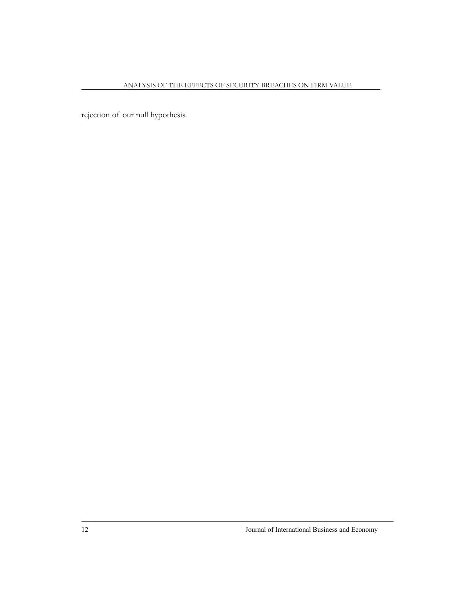rejection of our null hypothesis.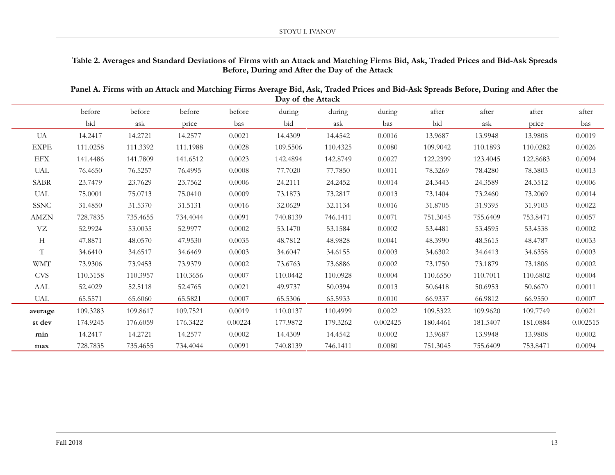## **Table 2. Averages and Standard Deviations of Firms with an Attack and Matching Firms Bid, Ask, Traded Prices and Bid-Ask Spreads Before, During and After the Day of the Attack**

**Panel A. Firms with an Attack and Matching Firms Average Bid, Ask, Traded Prices and Bid-Ask Spreads Before, During and After the Day of the Attack**

|             | before   | before   | before   | before  | during   | during   | during   | after    | after    | after    | after    |
|-------------|----------|----------|----------|---------|----------|----------|----------|----------|----------|----------|----------|
|             | bid      | ask      | price    | bas     | bid      | ask      | bas      | bid      | ask      | price    | bas      |
| UA          | 14.2417  | 14.2721  | 14.2577  | 0.0021  | 14.4309  | 14.4542  | 0.0016   | 13.9687  | 13.9948  | 13.9808  | 0.0019   |
| <b>EXPE</b> | 111.0258 | 111.3392 | 111.1988 | 0.0028  | 109.5506 | 110.4325 | 0.0080   | 109.9042 | 110.1893 | 110.0282 | 0.0026   |
| <b>EFX</b>  | 141.4486 | 141.7809 | 141.6512 | 0.0023  | 142.4894 | 142.8749 | 0.0027   | 122.2399 | 123.4045 | 122.8683 | 0.0094   |
| UAL         | 76.4650  | 76.5257  | 76.4995  | 0.0008  | 77.7020  | 77.7850  | 0.0011   | 78.3269  | 78.4280  | 78.3803  | 0.0013   |
| <b>SABR</b> | 23.7479  | 23.7629  | 23.7562  | 0.0006  | 24.2111  | 24.2452  | 0.0014   | 24.3443  | 24.3589  | 24.3512  | 0.0006   |
| <b>UAL</b>  | 75.0001  | 75.0713  | 75.0410  | 0.0009  | 73.1873  | 73.2817  | 0.0013   | 73.1404  | 73.2460  | 73.2069  | 0.0014   |
| <b>SSNC</b> | 31.4850  | 31.5370  | 31.5131  | 0.0016  | 32.0629  | 32.1134  | 0.0016   | 31.8705  | 31.9395  | 31.9103  | 0.0022   |
| <b>AMZN</b> | 728.7835 | 735.4655 | 734.4044 | 0.0091  | 740.8139 | 746.1411 | 0.0071   | 751.3045 | 755.6409 | 753.8471 | 0.0057   |
| $\rm VZ$    | 52.9924  | 53.0035  | 52.9977  | 0.0002  | 53.1470  | 53.1584  | 0.0002   | 53.4481  | 53.4595  | 53.4538  | 0.0002   |
| Н           | 47.8871  | 48.0570  | 47.9530  | 0.0035  | 48.7812  | 48.9828  | 0.0041   | 48.3990  | 48.5615  | 48.4787  | 0.0033   |
| T           | 34.6410  | 34.6517  | 34.6469  | 0.0003  | 34.6047  | 34.6155  | 0.0003   | 34.6302  | 34.6413  | 34.6358  | 0.0003   |
| <b>WMT</b>  | 73.9306  | 73.9453  | 73.9379  | 0.0002  | 73.6763  | 73.6886  | 0.0002   | 73.1750  | 73.1879  | 73.1806  | 0.0002   |
| <b>CVS</b>  | 110.3158 | 110.3957 | 110.3656 | 0.0007  | 110.0442 | 110.0928 | 0.0004   | 110.6550 | 110.7011 | 110.6802 | 0.0004   |
| AAL         | 52.4029  | 52.5118  | 52.4765  | 0.0021  | 49.9737  | 50.0394  | 0.0013   | 50.6418  | 50.6953  | 50.6670  | 0.0011   |
| UAL         | 65.5571  | 65.6060  | 65.5821  | 0.0007  | 65.5306  | 65.5933  | 0.0010   | 66.9337  | 66.9812  | 66.9550  | 0.0007   |
| average     | 109.3283 | 109.8617 | 109.7521 | 0.0019  | 110.0137 | 110.4999 | 0.0022   | 109.5322 | 109.9620 | 109.7749 | 0.0021   |
| st dev      | 174.9245 | 176.6059 | 176.3422 | 0.00224 | 177.9872 | 179.3262 | 0.002425 | 180.4461 | 181.5407 | 181.0884 | 0.002515 |
| min         | 14.2417  | 14.2721  | 14.2577  | 0.0002  | 14.4309  | 14.4542  | 0.0002   | 13.9687  | 13.9948  | 13.9808  | 0.0002   |
| max         | 728.7835 | 735.4655 | 734.4044 | 0.0091  | 740.8139 | 746.1411 | 0.0080   | 751.3045 | 755.6409 | 753.8471 | 0.0094   |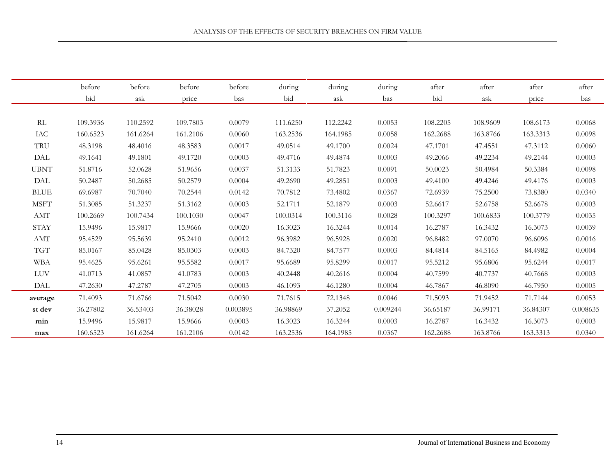|                             | before<br>bid | before<br>ask | before<br>price | before<br>bas | during<br>bid | during<br>ask | during<br>bas | after<br>bid | after<br>ask | after<br>price | after<br>bas |
|-----------------------------|---------------|---------------|-----------------|---------------|---------------|---------------|---------------|--------------|--------------|----------------|--------------|
|                             |               |               |                 |               |               |               |               |              |              |                |              |
| RL                          | 109.3936      | 110.2592      | 109.7803        | 0.0079        | 111.6250      | 112.2242      | 0.0053        | 108.2205     | 108.9609     | 108.6173       | 0.0068       |
| IAC                         | 160.6523      | 161.6264      | 161.2106        | 0.0060        | 163.2536      | 164.1985      | 0.0058        | 162.2688     | 163.8766     | 163.3313       | 0.0098       |
| TRU                         | 48.3198       | 48.4016       | 48.3583         | 0.0017        | 49.0514       | 49.1700       | 0.0024        | 47.1701      | 47.4551      | 47.3112        | 0.0060       |
| <b>DAL</b>                  | 49.1641       | 49.1801       | 49.1720         | 0.0003        | 49.4716       | 49.4874       | 0.0003        | 49.2066      |              |                | 0.0003       |
|                             |               |               |                 |               |               |               |               |              | 49.2234      | 49.2144        |              |
| <b>UBNT</b>                 | 51.8716       | 52.0628       | 51.9656         | 0.0037        | 51.3133       | 51.7823       | 0.0091        | 50.0023      | 50.4984      | 50.3384        | 0.0098       |
| $\ensuremath{\mathrm{DAL}}$ | 50.2487       | 50.2685       | 50.2579         | 0.0004        | 49.2690       | 49.2851       | 0.0003        | 49.4100      | 49.4246      | 49.4176        | 0.0003       |
| <b>BLUE</b>                 | 69.6987       | 70.7040       | 70.2544         | 0.0142        | 70.7812       | 73.4802       | 0.0367        | 72.6939      | 75.2500      | 73.8380        | 0.0340       |
| <b>MSFT</b>                 | 51.3085       | 51.3237       | 51.3162         | 0.0003        | 52.1711       | 52.1879       | 0.0003        | 52.6617      | 52.6758      | 52.6678        | 0.0003       |
| $\bold{AMT}$                | 100.2669      | 100.7434      | 100.1030        | 0.0047        | 100.0314      | 100.3116      | 0.0028        | 100.3297     | 100.6833     | 100.3779       | 0.0035       |
| <b>STAY</b>                 | 15.9496       | 15.9817       | 15.9666         | 0.0020        | 16.3023       | 16.3244       | 0.0014        | 16.2787      | 16.3432      | 16.3073        | 0.0039       |
| $\bold{AMT}$                | 95.4529       | 95.5639       | 95.2410         | 0.0012        | 96.3982       | 96.5928       | 0.0020        | 96.8482      | 97.0070      | 96.6096        | 0.0016       |
| <b>TGT</b>                  | 85.0167       | 85.0428       | 85.0303         | 0.0003        | 84.7320       | 84.7577       | 0.0003        | 84.4814      | 84.5165      | 84.4982        | 0.0004       |
| <b>WBA</b>                  | 95.4625       | 95.6261       | 95.5582         | 0.0017        | 95.6689       | 95.8299       | 0.0017        | 95.5212      | 95.6806      | 95.6244        | 0.0017       |
| LUV                         | 41.0713       | 41.0857       | 41.0783         | 0.0003        | 40.2448       | 40.2616       | 0.0004        | 40.7599      | 40.7737      | 40.7668        | 0.0003       |
| <b>DAL</b>                  | 47.2630       | 47.2787       | 47.2705         | 0.0003        | 46.1093       | 46.1280       | 0.0004        | 46.7867      | 46.8090      | 46.7950        | 0.0005       |
| average                     | 71.4093       | 71.6766       | 71.5042         | 0.0030        | 71.7615       | 72.1348       | 0.0046        | 71.5093      | 71.9452      | 71.7144        | 0.0053       |
| st dev                      | 36.27802      | 36.53403      | 36.38028        | 0.003895      | 36.98869      | 37.2052       | 0.009244      | 36.65187     | 36.99171     | 36.84307       | 0.008635     |
| min                         | 15.9496       | 15.9817       | 15.9666         | 0.0003        | 16.3023       | 16.3244       | 0.0003        | 16.2787      | 16.3432      | 16.3073        | 0.0003       |
|                             |               |               |                 |               |               |               |               |              |              |                |              |
| max                         | 160.6523      | 161.6264      | 161.2106        | 0.0142        | 163.2536      | 164.1985      | 0.0367        | 162.2688     | 163.8766     | 163.3313       | 0.0340       |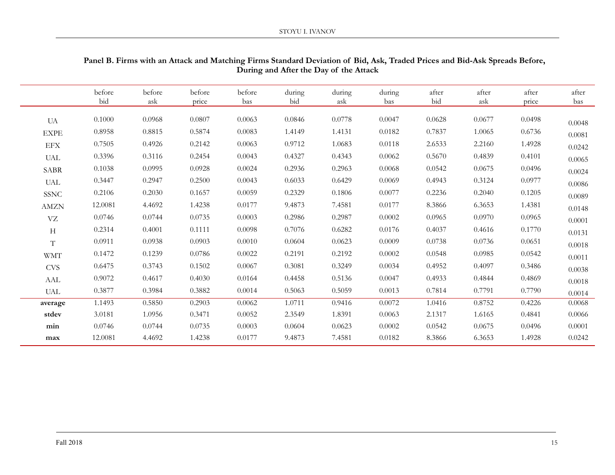|                             | before<br>bid | before<br>ask | before<br>price | before<br>bas | during<br>bid | during<br>ask | during<br>bas | after<br>bid | after<br>ask | after<br>price | after<br>bas |
|-----------------------------|---------------|---------------|-----------------|---------------|---------------|---------------|---------------|--------------|--------------|----------------|--------------|
| <b>UA</b>                   | 0.1000        | 0.0968        | 0.0807          | 0.0063        | 0.0846        | 0.0778        | 0.0047        | 0.0628       | 0.0677       | 0.0498         | 0.0048       |
| <b>EXPE</b>                 | 0.8958        | 0.8815        | 0.5874          | 0.0083        | 1.4149        | 1.4131        | 0.0182        | 0.7837       | 1.0065       | 0.6736         | 0.0081       |
| $\rm EFX$                   | 0.7505        | 0.4926        | 0.2142          | 0.0063        | 0.9712        | 1.0683        | 0.0118        | 2.6533       | 2.2160       | 1.4928         | 0.0242       |
| $\ensuremath{\mathsf{UAL}}$ | 0.3396        | 0.3116        | 0.2454          | 0.0043        | 0.4327        | 0.4343        | 0.0062        | 0.5670       | 0.4839       | 0.4101         | 0.0065       |
| <b>SABR</b>                 | 0.1038        | 0.0995        | 0.0928          | 0.0024        | 0.2936        | 0.2963        | 0.0068        | 0.0542       | 0.0675       | 0.0496         | 0.0024       |
| <b>UAL</b>                  | 0.3447        | 0.2947        | 0.2500          | 0.0043        | 0.6033        | 0.6429        | 0.0069        | 0.4943       | 0.3124       | 0.0977         | 0.0086       |
| <b>SSNC</b>                 | 0.2106        | 0.2030        | 0.1657          | 0.0059        | 0.2329        | 0.1806        | 0.0077        | 0.2236       | 0.2040       | 0.1205         | 0.0089       |
| <b>AMZN</b>                 | 12.0081       | 4.4692        | 1.4238          | 0.0177        | 9.4873        | 7.4581        | 0.0177        | 8.3866       | 6.3653       | 1.4381         | 0.0148       |
| ${\nabla} Z$                | 0.0746        | 0.0744        | 0.0735          | 0.0003        | 0.2986        | 0.2987        | 0.0002        | 0.0965       | 0.0970       | 0.0965         | 0.0001       |
| H                           | 0.2314        | 0.4001        | 0.1111          | 0.0098        | 0.7076        | 0.6282        | 0.0176        | 0.4037       | 0.4616       | 0.1770         | 0.0131       |
| $\mathbf T$                 | 0.0911        | 0.0938        | 0.0903          | 0.0010        | 0.0604        | 0.0623        | 0.0009        | 0.0738       | 0.0736       | 0.0651         | 0.0018       |
| <b>WMT</b>                  | 0.1472        | 0.1239        | 0.0786          | 0.0022        | 0.2191        | 0.2192        | 0.0002        | 0.0548       | 0.0985       | 0.0542         | 0.0011       |
| <b>CVS</b>                  | 0.6475        | 0.3743        | 0.1502          | 0.0067        | 0.3081        | 0.3249        | 0.0034        | 0.4952       | 0.4097       | 0.3486         | 0.0038       |
| AAL                         | 0.9072        | 0.4617        | 0.4030          | 0.0164        | 0.4458        | 0.5136        | 0.0047        | 0.4933       | 0.4844       | 0.4869         | 0.0018       |
| <b>UAL</b>                  | 0.3877        | 0.3984        | 0.3882          | 0.0014        | 0.5063        | 0.5059        | 0.0013        | 0.7814       | 0.7791       | 0.7790         | 0.0014       |
| average                     | 1.1493        | 0.5850        | 0.2903          | 0.0062        | 1.0711        | 0.9416        | 0.0072        | 1.0416       | 0.8752       | 0.4226         | 0.0068       |
| stdev                       | 3.0181        | 1.0956        | 0.3471          | 0.0052        | 2.3549        | 1.8391        | 0.0063        | 2.1317       | 1.6165       | 0.4841         | 0.0066       |
| min                         | 0.0746        | 0.0744        | 0.0735          | 0.0003        | 0.0604        | 0.0623        | 0.0002        | 0.0542       | 0.0675       | 0.0496         | 0.0001       |
| max                         | 12.0081       | 4.4692        | 1.4238          | 0.0177        | 9.4873        | 7.4581        | 0.0182        | 8.3866       | 6.3653       | 1.4928         | 0.0242       |

## **Panel B. Firms with an Attack and Matching Firms Standard Deviation of Bid, Ask, Traded Prices and Bid-Ask Spreads Before, During and After the Day of the Attack**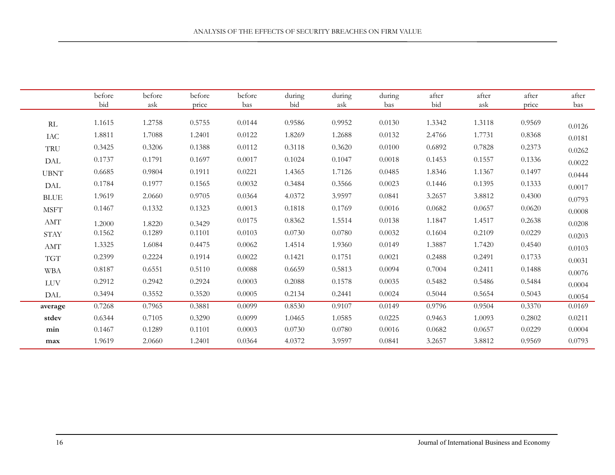|                       | before<br>bid | before<br>ask | before<br>price | before<br>bas | during<br>bid | during<br>ask | during<br>bas | after<br>bid | after<br>ask | after<br>price | after<br>bas |
|-----------------------|---------------|---------------|-----------------|---------------|---------------|---------------|---------------|--------------|--------------|----------------|--------------|
| RL                    | 1.1615        | 1.2758        | 0.5755          | 0.0144        | 0.9586        | 0.9952        | 0.0130        | 1.3342       | 1.3118       | 0.9569         | 0.0126       |
| IAC                   | 1.8811        | 1.7088        | 1.2401          | 0.0122        | 1.8269        | 1.2688        | 0.0132        | 2.4766       | 1.7731       | 0.8368         | 0.0181       |
| TRU                   | 0.3425        | 0.3206        | 0.1388          | 0.0112        | 0.3118        | 0.3620        | 0.0100        | 0.6892       | 0.7828       | 0.2373         | 0.0262       |
| DAL                   | 0.1737        | 0.1791        | 0.1697          | 0.0017        | 0.1024        | 0.1047        | 0.0018        | 0.1453       | 0.1557       | 0.1336         | 0.0022       |
| <b>UBNT</b>           | 0.6685        | 0.9804        | 0.1911          | 0.0221        | 1.4365        | 1.7126        | 0.0485        | 1.8346       | 1.1367       | 0.1497         | 0.0444       |
| DAL                   | 0.1784        | 0.1977        | 0.1565          | 0.0032        | 0.3484        | 0.3566        | 0.0023        | 0.1446       | 0.1395       | 0.1333         | 0.0017       |
| $\operatorname{BLUE}$ | 1.9619        | 2.0660        | 0.9705          | 0.0364        | 4.0372        | 3.9597        | 0.0841        | 3.2657       | 3.8812       | 0.4300         | 0.0793       |
| <b>MSFT</b>           | 0.1467        | 0.1332        | 0.1323          | 0.0013        | 0.1818        | 0.1769        | 0.0016        | 0.0682       | 0.0657       | 0.0620         | 0.0008       |
| AMT                   | 1.2000        | 1.8220        | 0.3429          | 0.0175        | 0.8362        | 1.5514        | 0.0138        | 1.1847       | 1.4517       | 0.2638         | 0.0208       |
| ${\rm STAY}$          | 0.1562        | 0.1289        | 0.1101          | 0.0103        | 0.0730        | 0.0780        | 0.0032        | 0.1604       | 0.2109       | 0.0229         | 0.0203       |
| $\operatorname{AMT}$  | 1.3325        | 1.6084        | 0.4475          | 0.0062        | 1.4514        | 1.9360        | 0.0149        | 1.3887       | 1.7420       | 0.4540         | 0.0103       |
| <b>TGT</b>            | 0.2399        | 0.2224        | 0.1914          | 0.0022        | 0.1421        | 0.1751        | 0.0021        | 0.2488       | 0.2491       | 0.1733         | 0.0031       |
| <b>WBA</b>            | 0.8187        | 0.6551        | 0.5110          | 0.0088        | 0.6659        | 0.5813        | 0.0094        | 0.7004       | 0.2411       | 0.1488         | 0.0076       |
| ${\rm LUV}$           | 0.2912        | 0.2942        | 0.2924          | 0.0003        | 0.2088        | 0.1578        | 0.0035        | 0.5482       | 0.5486       | 0.5484         | 0.0004       |
| DAL                   | 0.3494        | 0.3552        | 0.3520          | 0.0005        | 0.2134        | 0.2441        | 0.0024        | 0.5044       | 0.5654       | 0.5043         | 0.0054       |
| average               | 0.7268        | 0.7965        | 0.3881          | 0.0099        | 0.8530        | 0.9107        | 0.0149        | 0.9796       | 0.9504       | 0.3370         | 0.0169       |
| stdev                 | 0.6344        | 0.7105        | 0.3290          | 0.0099        | 1.0465        | 1.0585        | 0.0225        | 0.9463       | 1.0093       | 0.2802         | 0.0211       |
| min                   | 0.1467        | 0.1289        | 0.1101          | 0.0003        | 0.0730        | 0.0780        | 0.0016        | 0.0682       | 0.0657       | 0.0229         | 0.0004       |
| max                   | 1.9619        | 2.0660        | 1.2401          | 0.0364        | 4.0372        | 3.9597        | 0.0841        | 3.2657       | 3.8812       | 0.9569         | 0.0793       |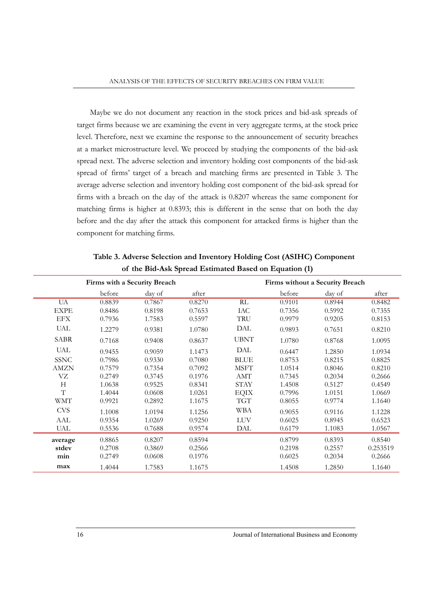Maybe we do not document any reaction in the stock prices and bid-ask spreads of target firms because we are examining the event in very aggregate terms, at the stock price level. Therefore, next we examine the response to the announcement of security breaches at a market microstructure level. We proceed by studying the components of the bid-ask spread next. The adverse selection and inventory holding cost components of the bid-ask spread of firms' target of a breach and matching firms are presented in Table 3. The average adverse selection and inventory holding cost component of the bid-ask spread for firms with a breach on the day of the attack is 0.8207 whereas the same component for matching firms is higher at 0.8393; this is different in the sense that on both the day before and the day after the attack this component for attacked firms is higher than the component for matching firms.

|             | Firms with a Security Breach |        |        |             | Firms without a Security Breach |        |          |  |  |
|-------------|------------------------------|--------|--------|-------------|---------------------------------|--------|----------|--|--|
|             | before                       | day of | after  |             | before                          | day of | after    |  |  |
| UA          | 0.8839                       | 0.7867 | 0.8270 | RL          | 0.9101                          | 0.8944 | 0.8482   |  |  |
| <b>EXPE</b> | 0.8486                       | 0.8198 | 0.7653 | IAC         | 0.7356                          | 0.5992 | 0.7355   |  |  |
| <b>EFX</b>  | 0.7936                       | 1.7583 | 0.5597 | TRU         | 0.9979                          | 0.9205 | 0.8153   |  |  |
| <b>UAL</b>  | 1.2279                       | 0.9381 | 1.0780 | DAL         | 0.9893                          | 0.7651 | 0.8210   |  |  |
| <b>SABR</b> | 0.7168                       | 0.9408 | 0.8637 | <b>UBNT</b> | 1.0780                          | 0.8768 | 1.0095   |  |  |
| <b>UAL</b>  | 0.9455                       | 0.9059 | 1.1473 | DAL         | 0.6447                          | 1.2850 | 1.0934   |  |  |
| <b>SSNC</b> | 0.7986                       | 0.9330 | 0.7080 | <b>BLUE</b> | 0.8753                          | 0.8215 | 0.8825   |  |  |
| <b>AMZN</b> | 0.7579                       | 0.7354 | 0.7092 | <b>MSFT</b> | 1.0514                          | 0.8046 | 0.8210   |  |  |
| VZ          | 0.2749                       | 0.3745 | 0.1976 | <b>AMT</b>  | 0.7345                          | 0.2034 | 0.2666   |  |  |
| H           | 1.0638                       | 0.9525 | 0.8341 | <b>STAY</b> | 1.4508                          | 0.5127 | 0.4549   |  |  |
| T           | 1.4044                       | 0.0608 | 1.0261 | <b>EQIX</b> | 0.7996                          | 1.0151 | 1.0669   |  |  |
| <b>WMT</b>  | 0.9921                       | 0.2892 | 1.1675 | <b>TGT</b>  | 0.8055                          | 0.9774 | 1.1640   |  |  |
| <b>CVS</b>  | 1.1008                       | 1.0194 | 1.1256 | <b>WBA</b>  | 0.9055                          | 0.9116 | 1.1228   |  |  |
| AAL         | 0.9354                       | 1.0269 | 0.9250 | <b>LUV</b>  | 0.6025                          | 0.8945 | 0.6523   |  |  |
| <b>UAL</b>  | 0.5536                       | 0.7688 | 0.9574 | DAL         | 0.6179                          | 1.1083 | 1.0567   |  |  |
| average     | 0.8865                       | 0.8207 | 0.8594 |             | 0.8799                          | 0.8393 | 0.8540   |  |  |
| stdev       | 0.2708                       | 0.3869 | 0.2566 |             | 0.2198                          | 0.2557 | 0.253519 |  |  |
| min         | 0.2749                       | 0.0608 | 0.1976 |             | 0.6025                          | 0.2034 | 0.2666   |  |  |
| max         | 1.4044                       | 1.7583 | 1.1675 |             | 1.4508                          | 1.2850 | 1.1640   |  |  |

**Table 3. Adverse Selection and Inventory Holding Cost (ASIHC) Component of the Bid-Ask Spread Estimated Based on Equation (1)**

16 Journal of International Business and Economy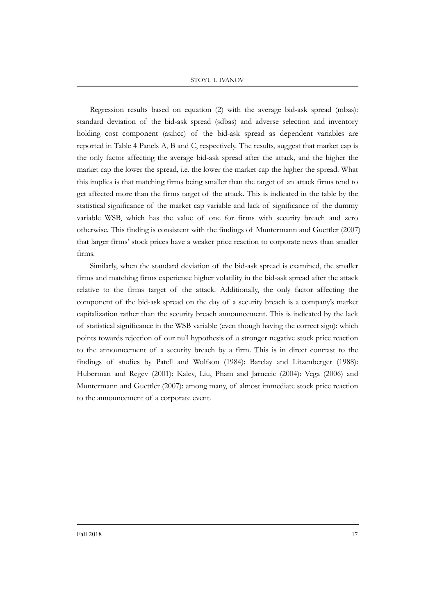Regression results based on equation (2) with the average bid-ask spread (mbas): standard deviation of the bid-ask spread (sdbas) and adverse selection and inventory holding cost component (asihcc) of the bid-ask spread as dependent variables are reported in Table 4 Panels A, B and C, respectively. The results, suggest that market cap is the only factor affecting the average bid-ask spread after the attack, and the higher the market cap the lower the spread, i.e. the lower the market cap the higher the spread. What this implies is that matching firms being smaller than the target of an attack firms tend to get affected more than the firms target of the attack. This is indicated in the table by the statistical significance of the market cap variable and lack of significance of the dummy variable WSB, which has the value of one for firms with security breach and zero otherwise. This finding is consistent with the findings of Muntermann and Guettler (2007) that larger firms' stock prices have a weaker price reaction to corporate news than smaller firms.

Similarly, when the standard deviation of the bid-ask spread is examined, the smaller firms and matching firms experience higher volatility in the bid-ask spread after the attack relative to the firms target of the attack. Additionally, the only factor affecting the component of the bid-ask spread on the day of a security breach is a company's market capitalization rather than the security breach announcement. This is indicated by the lack of statistical significance in the WSB variable (even though having the correct sign): which points towards rejection of our null hypothesis of a stronger negative stock price reaction to the announcement of a security breach by a firm. This is in direct contrast to the findings of studies by Patell and Wolfson (1984): Barclay and Litzenberger (1988): Huberman and Regev (2001): Kalev, Liu, Pham and Jarnecic (2004): Vega (2006) and Muntermann and Guettler (2007): among many, of almost immediate stock price reaction to the announcement of a corporate event.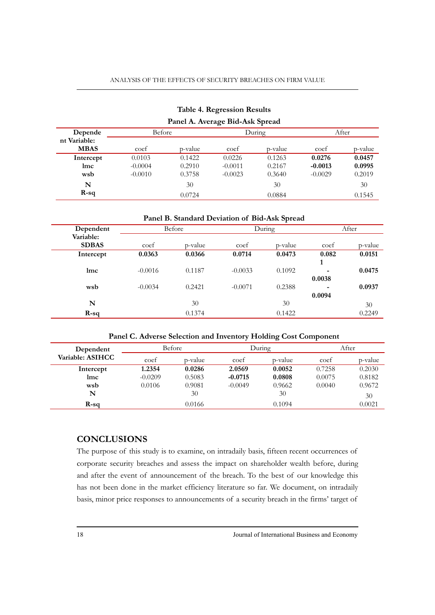#### ANALYSIS OF THE EFFECTS OF SECURITY BREACHES ON FIRM VALUE

|                             |           | Panel A. Average Bid-Ask Spread |           |         |           |         |  |
|-----------------------------|-----------|---------------------------------|-----------|---------|-----------|---------|--|
| Depende                     | Before    |                                 |           | During  | After     |         |  |
| nt Variable:<br><b>MBAS</b> | coef      | p-value                         | coef      | p-value | coef      | p-value |  |
| Intercept                   | 0.0103    | 0.1422                          | 0.0226    | 0.1263  | 0.0276    | 0.0457  |  |
| lmc                         | $-0.0004$ | 0.2910                          | $-0.0011$ | 0.2167  | $-0.0013$ | 0.0995  |  |
| wsb                         | $-0.0010$ | 0.3758                          | $-0.0023$ | 0.3640  | $-0.0029$ | 0.2019  |  |
| N                           |           | 30                              |           | 30      |           | 30      |  |
| $R-sq$                      |           | 0.0724                          |           | 0.0884  |           | 0.1545  |  |

# **Table 4. Regression Results**

#### **Panel B. Standard Deviation of Bid-Ask Spread**

| Dependent    |           | Before  |           | During  | After  |         |  |
|--------------|-----------|---------|-----------|---------|--------|---------|--|
| Variable:    |           |         |           |         |        |         |  |
| <b>SDBAS</b> | coef      | p-value | coef      | p-value | coef   | p-value |  |
| Intercept    | 0.0363    | 0.0366  | 0.0714    | 0.0473  | 0.082  | 0.0151  |  |
|              |           |         |           |         | 1      |         |  |
| lmc          | $-0.0016$ | 0.1187  | $-0.0033$ | 0.1092  | -      | 0.0475  |  |
|              |           |         |           |         | 0.0038 |         |  |
| wsb          | $-0.0034$ | 0.2421  | $-0.0071$ | 0.2388  |        | 0.0937  |  |
|              |           |         |           |         | 0.0094 |         |  |
| N            |           | 30      |           | 30      |        | 30      |  |
| $R-sq$       |           | 0.1374  |           | 0.1422  |        | 0.2249  |  |

#### **Panel C. Adverse Selection and Inventory Holding Cost Component**

| Dependent        |           | <b>Before</b> |           | During  | After  |         |  |
|------------------|-----------|---------------|-----------|---------|--------|---------|--|
| Variable: ASIHCC | coef      | p-value       | coef      | p-value | coef   | p-value |  |
| Intercept        | 1.2354    | 0.0286        | 2.0569    | 0.0052  | 0.7258 | 0.2030  |  |
| lmc              | $-0.0209$ | 0.5083        | $-0.0715$ | 0.0808  | 0.0075 | 0.8182  |  |
| wsb              | 0.0106    | 0.9081        | $-0.0049$ | 0.9662  | 0.0040 | 0.9672  |  |
| N                |           | 30            |           | 30      |        | 30      |  |
| $R-sq$           |           | 0.0166        |           | 0.1094  |        | 0.0021  |  |

## **CONCLUSIONS**

The purpose of this study is to examine, on intradaily basis, fifteen recent occurrences of corporate security breaches and assess the impact on shareholder wealth before, during and after the event of announcement of the breach. To the best of our knowledge this has not been done in the market efficiency literature so far. We document, on intradaily basis, minor price responses to announcements of a security breach in the firms' target of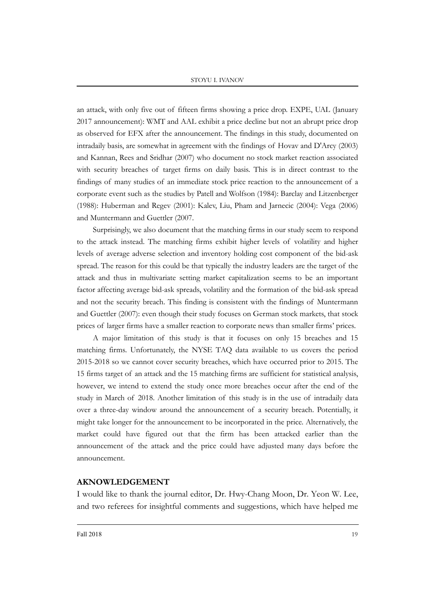#### STOYU I. IVANOV

an attack, with only five out of fifteen firms showing a price drop. EXPE, UAL (January 2017 announcement): WMT and AAL exhibit a price decline but not an abrupt price drop as observed for EFX after the announcement. The findings in this study, documented on intradaily basis, are somewhat in agreement with the findings of Hovav and D'Arcy (2003) and Kannan, Rees and Sridhar (2007) who document no stock market reaction associated with security breaches of target firms on daily basis. This is in direct contrast to the findings of many studies of an immediate stock price reaction to the announcement of a corporate event such as the studies by Patell and Wolfson (1984): Barclay and Litzenberger (1988): Huberman and Regev (2001): Kalev, Liu, Pham and Jarnecic (2004): Vega (2006) and Muntermann and Guettler (2007.

Surprisingly, we also document that the matching firms in our study seem to respond to the attack instead. The matching firms exhibit higher levels of volatility and higher levels of average adverse selection and inventory holding cost component of the bid-ask spread. The reason for this could be that typically the industry leaders are the target of the attack and thus in multivariate setting market capitalization seems to be an important factor affecting average bid-ask spreads, volatility and the formation of the bid-ask spread and not the security breach. This finding is consistent with the findings of Muntermann and Guettler (2007): even though their study focuses on German stock markets, that stock prices of larger firms have a smaller reaction to corporate news than smaller firms' prices.

A major limitation of this study is that it focuses on only 15 breaches and 15 matching firms. Unfortunately, the NYSE TAQ data available to us covers the period 2015-2018 so we cannot cover security breaches, which have occurred prior to 2015. The 15 firms target of an attack and the 15 matching firms are sufficient for statistical analysis, however, we intend to extend the study once more breaches occur after the end of the study in March of 2018. Another limitation of this study is in the use of intradaily data over a three-day window around the announcement of a security breach. Potentially, it might take longer for the announcement to be incorporated in the price. Alternatively, the market could have figured out that the firm has been attacked earlier than the announcement of the attack and the price could have adjusted many days before the announcement.

#### **AKNOWLEDGEMENT**

I would like to thank the journal editor, Dr. Hwy-Chang Moon, Dr. Yeon W. Lee, and two referees for insightful comments and suggestions, which have helped me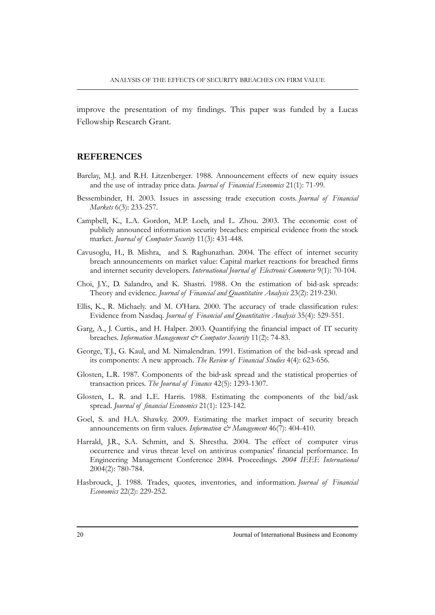improve the presentation of my findings. This paper was funded by a Lucas Fellowship Research Grant.

#### **REFERENCES**

- Barclay, M.J. and R.H. Litzenberger. 1988. Announcement effects of new equity issues and the use of intraday price data. *Journal of Financial Economics* 21(1): 71-99.
- Bessembinder, H. 2003. Issues in assessing trade execution costs. *Journal of Financial Markets* 6(3): 233-257.
- Campbell, K., L.A. Gordon, M.P. Loeb, and L. Zhou. 2003. The economic cost of publicly announced information security breaches: empirical evidence from the stock market. *Journal of Computer Security* 11(3): 431-448.
- Cavusoglu, H., B. Mishra, and S. Raghunathan. 2004. The effect of internet security breach announcements on market value: Capital market reactions for breached firms and internet security developers. *International Journal of Electronic Commerce* 9(1): 70-104.
- Choi, J.Y., D. Salandro, and K. Shastri. 1988. On the estimation of bid-ask spreads: Theory and evidence. *Journal of Financial and Quantitative Analysis* 23(2): 219-230.
- Ellis, K., R. Michaely. and M. O'Hara. 2000. The accuracy of trade classification rules: Evidence from Nasdaq. *Journal of Financial and Quantitative Analysis* 35(4): 529-551.
- Garg, A., J. Curtis., and H. Halper. 2003. Quantifying the financial impact of IT security breaches. *Information Management & Computer Security* 11(2): 74-83.
- George, T.J., G. Kaul, and M. Nimalendran. 1991. Estimation of the bid–ask spread and its components: A new approach. *The Review of Financial Studies* 4(4): 623-656.
- Glosten, L.R. 1987. Components of the bid-ask spread and the statistical properties of transaction prices. *The Journal of Finance* 42(5): 1293-1307.
- Glosten, L. R. and L.E. Harris. 1988. Estimating the components of the bid/ask spread. *Journal of financial Economics* 21(1): 123-142.
- Goel, S. and H.A. Shawky. 2009. Estimating the market impact of security breach announcements on firm values. *Information*  $\mathcal{Q}^{\infty}$  Management 46(7): 404-410.
- Harrald, J.R., S.A. Schmitt, and S. Shrestha. 2004. The effect of computer virus occurrence and virus threat level on antivirus companies' financial performance. In Engineering Management Conference 2004. Proceedings. *2004 IEEE International* 2004(2): 780-784.
- Hasbrouck, J. 1988. Trades, quotes, inventories, and information. *Journal of Financial Economics* 22(2): 229-252.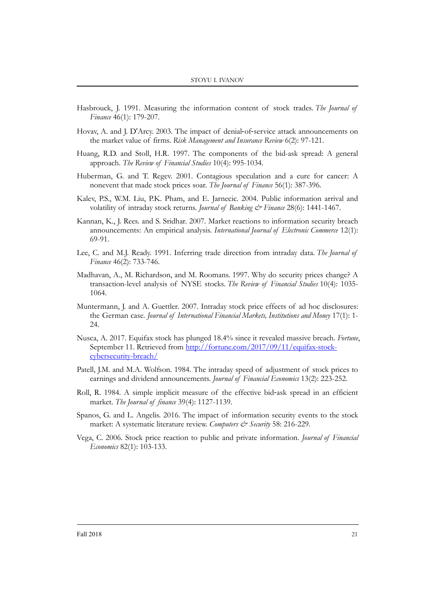- Hasbrouck, J. 1991. Measuring the information content of stock trades. *The Journal of Finance* 46(1): 179-207.
- Hovav, A. and J. D'Arcy. 2003. The impact of denial-of-service attack announcements on the market value of firms. *Risk Management and Insurance Review* 6(2): 97-121.
- Huang, R.D. and Stoll, H.R. 1997. The components of the bid-ask spread: A general approach. *The Review of Financial Studies* 10(4): 995-1034.
- Huberman, G. and T. Regev. 2001. Contagious speculation and a cure for cancer: A nonevent that made stock prices soar. *The Journal of Finance* 56(1): 387-396.
- Kalev, P.S., W.M. Liu, P.K. Pham, and E. Jarnecic. 2004. Public information arrival and volatility of intraday stock returns. *Journal of Banking & Finance* 28(6): 1441-1467.
- Kannan, K., J. Rees. and S. Sridhar. 2007. Market reactions to information security breach announcements: An empirical analysis. *International Journal of Electronic Commerce* 12(1): 69-91.
- Lee, C. and M.J. Ready. 1991. Inferring trade direction from intraday data. *The Journal of Finance* 46(2): 733-746.
- Madhavan, A., M. Richardson, and M. Roomans. 1997. Why do security prices change? A transaction-level analysis of NYSE stocks. *The Review of Financial Studies* 10(4): 1035- 1064.
- Muntermann, J. and A. Guettler. 2007. Intraday stock price effects of ad hoc disclosures: the German case. *Journal of International Financial Markets, Institutions and Money* 17(1): 1- 24.
- Nusca, A. 2017. Equifax stock has plunged 18.4% since it revealed massive breach. *Fortune*, September 11. Retrieved from [http://fortune.com/2017/09/11/equifax-stock](http://fortune.com/2017/09/11/equifax-stock-cybersecurity-breach/)[cybersecurity-breach/](http://fortune.com/2017/09/11/equifax-stock-cybersecurity-breach/)
- Patell, J.M. and M.A. Wolfson. 1984. The intraday speed of adjustment of stock prices to earnings and dividend announcements. *Journal of Financial Economics* 13(2): 223-252.
- Roll, R. 1984. A simple implicit measure of the effective bid-ask spread in an efficient market. *The Journal of finance* 39(4): 1127-1139.
- Spanos, G. and L. Angelis. 2016. The impact of information security events to the stock market: A systematic literature review. *Computers & Security* 58: 216-229.
- Vega, C. 2006. Stock price reaction to public and private information. *Journal of Financial Economics* 82(1): 103-133.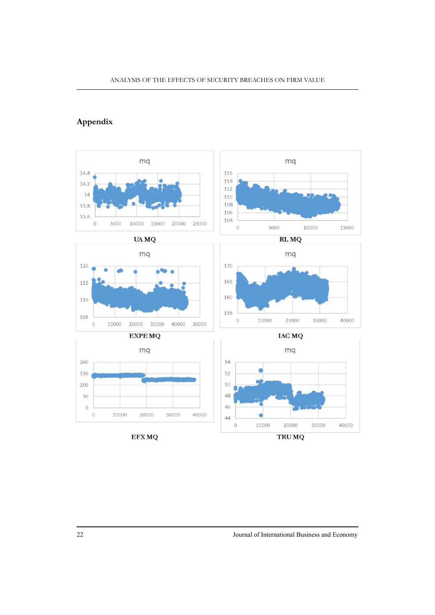## **Appendix**

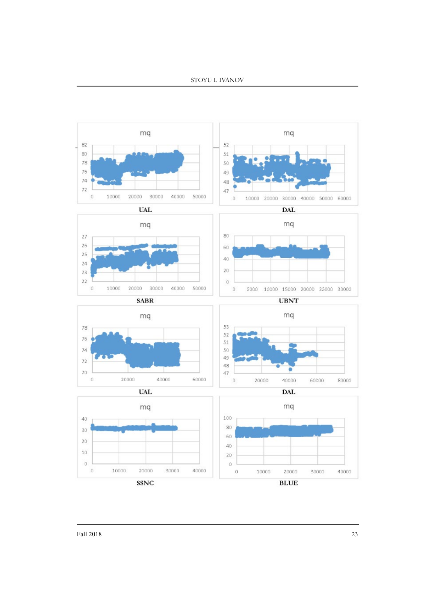

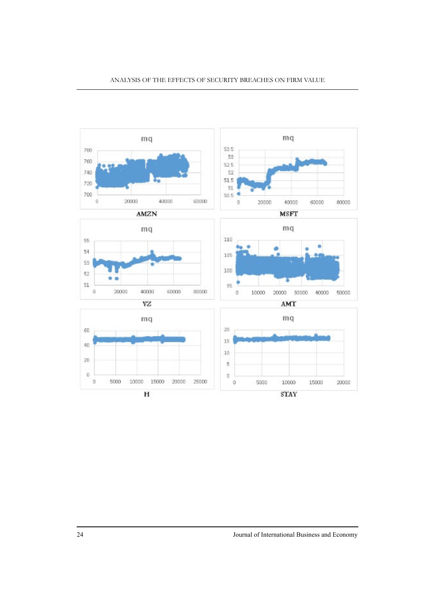

24 Journal of International Business and Economy